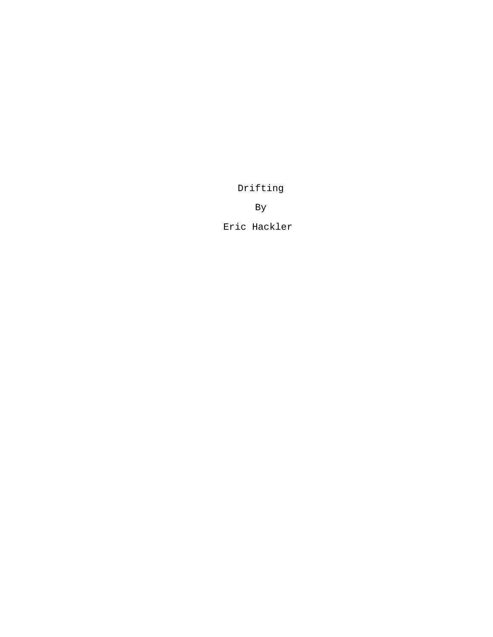Drifting

By

Eric Hackler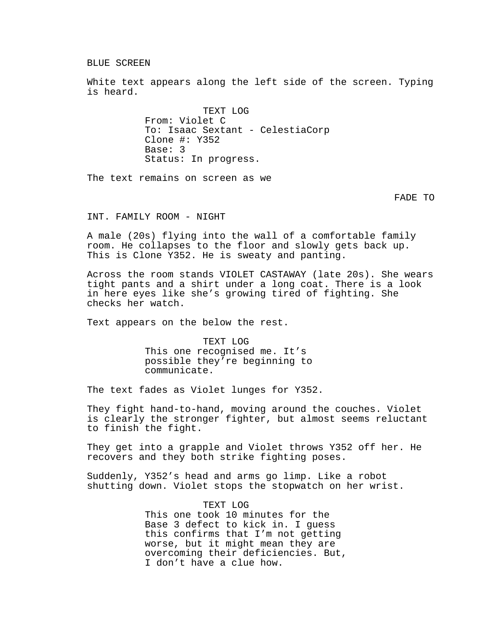BLUE SCREEN

White text appears along the left side of the screen. Typing is heard.

> TEXT LOG From: Violet C To: Isaac Sextant - CelestiaCorp Clone #: Y352 Base: 3 Status: In progress.

The text remains on screen as we

FADE TO

INT. FAMILY ROOM - NIGHT

A male (20s) flying into the wall of a comfortable family room. He collapses to the floor and slowly gets back up. This is Clone Y352. He is sweaty and panting.

Across the room stands VIOLET CASTAWAY (late 20s). She wears tight pants and a shirt under a long coat. There is a look in here eyes like she's growing tired of fighting. She checks her watch.

Text appears on the below the rest.

TEXT LOG This one recognised me. It's possible they're beginning to communicate.

The text fades as Violet lunges for Y352.

They fight hand-to-hand, moving around the couches. Violet is clearly the stronger fighter, but almost seems reluctant to finish the fight.

They get into a grapple and Violet throws Y352 off her. He recovers and they both strike fighting poses.

Suddenly, Y352's head and arms go limp. Like a robot shutting down. Violet stops the stopwatch on her wrist.

> TEXT LOG This one took 10 minutes for the Base 3 defect to kick in. I guess this confirms that I'm not getting worse, but it might mean they are overcoming their deficiencies. But, I don't have a clue how.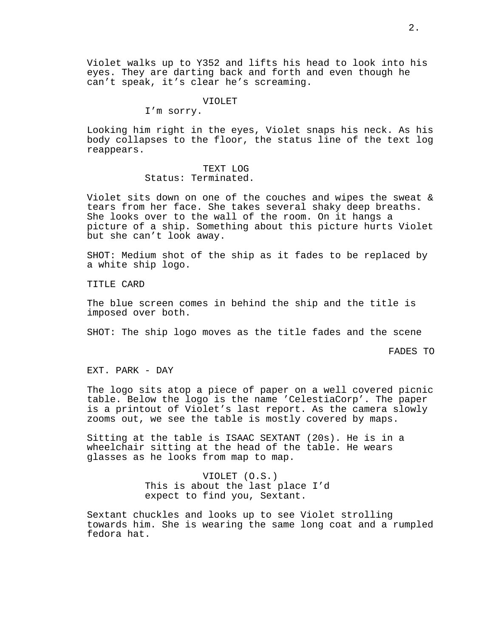Violet walks up to Y352 and lifts his head to look into his eyes. They are darting back and forth and even though he can't speak, it's clear he's screaming.

### VIOLET

I'm sorry.

Looking him right in the eyes, Violet snaps his neck. As his body collapses to the floor, the status line of the text log reappears.

## TEXT LOG Status: Terminated.

Violet sits down on one of the couches and wipes the sweat & tears from her face. She takes several shaky deep breaths. She looks over to the wall of the room. On it hangs a picture of a ship. Something about this picture hurts Violet but she can't look away.

SHOT: Medium shot of the ship as it fades to be replaced by a white ship logo.

TITLE CARD

The blue screen comes in behind the ship and the title is imposed over both.

SHOT: The ship logo moves as the title fades and the scene

FADES TO

EXT. PARK - DAY

The logo sits atop a piece of paper on a well covered picnic table. Below the logo is the name 'CelestiaCorp'. The paper is a printout of Violet's last report. As the camera slowly zooms out, we see the table is mostly covered by maps.

Sitting at the table is ISAAC SEXTANT (20s). He is in a wheelchair sitting at the head of the table. He wears glasses as he looks from map to map.

> VIOLET (O.S.) This is about the last place I'd expect to find you, Sextant.

Sextant chuckles and looks up to see Violet strolling towards him. She is wearing the same long coat and a rumpled fedora hat.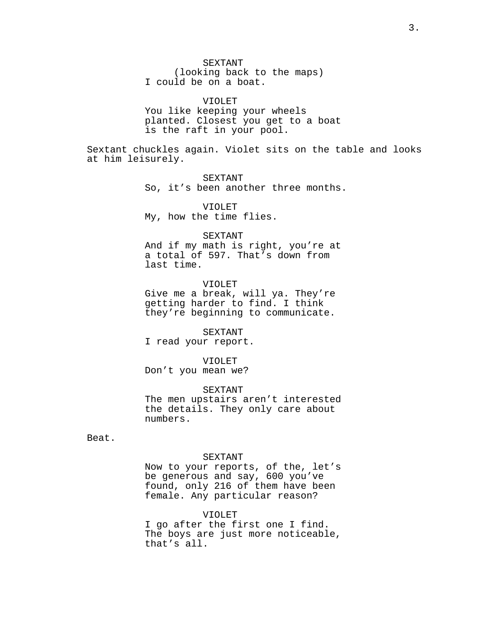SEXTANT (looking back to the maps) I could be on a boat.

VIOLET You like keeping your wheels planted. Closest you get to a boat is the raft in your pool.

Sextant chuckles again. Violet sits on the table and looks at him leisurely.

> SEXTANT So, it's been another three months.

VIOLET My, how the time flies.

### SEXTANT

And if my math is right, you're at a total of 597. That's down from last time.

VIOLET Give me a break, will ya. They're

getting harder to find. I think they're beginning to communicate.

#### SEXTANT

I read your report.

#### VIOLET

Don't you mean we?

SEXTANT

The men upstairs aren't interested the details. They only care about numbers.

Beat.

### SEXTANT

Now to your reports, of the, let's be generous and say, 600 you've found, only 216 of them have been female. Any particular reason?

## VIOLET

I go after the first one I find. The boys are just more noticeable, that's all.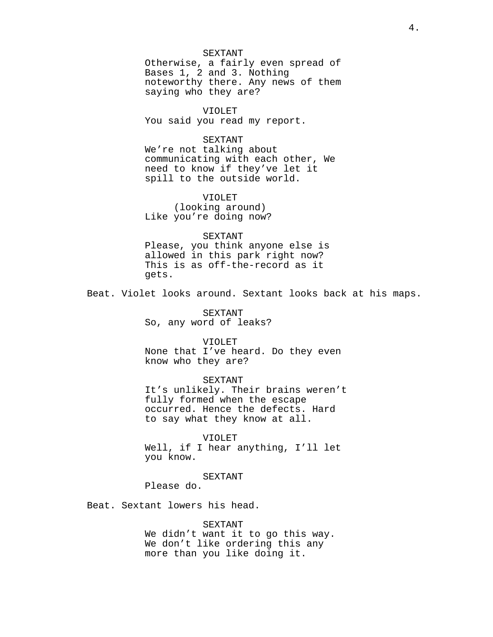### SEXTANT

Otherwise, a fairly even spread of Bases 1, 2 and 3. Nothing noteworthy there. Any news of them saying who they are?

# VIOLET

You said you read my report.

## SEXTANT

We're not talking about communicating with each other, We need to know if they've let it spill to the outside world.

# VIOLET

(looking around) Like you're doing now?

### SEXTANT

Please, you think anyone else is allowed in this park right now? This is as off-the-record as it gets.

Beat. Violet looks around. Sextant looks back at his maps.

SEXTANT So, any word of leaks?

## VIOLET

None that I've heard. Do they even know who they are?

## SEXTANT

It's unlikely. Their brains weren't fully formed when the escape occurred. Hence the defects. Hard to say what they know at all.

## VIOLET

Well, if I hear anything, I'll let you know.

# SEXTANT

Please do.

Beat. Sextant lowers his head.

SEXTANT

We didn't want it to go this way. We don't like ordering this any more than you like doing it.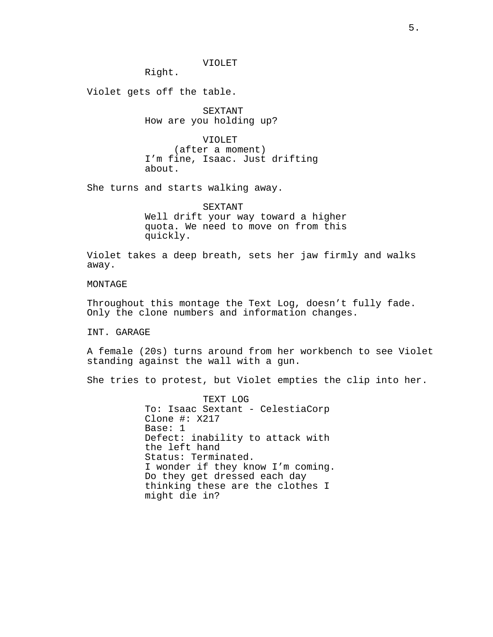VIOLET

Right.

Violet gets off the table.

SEXTANT How are you holding up?

VIOLET (after a moment) I'm fine, Isaac. Just drifting about.

She turns and starts walking away.

SEXTANT Well drift your way toward a higher quota. We need to move on from this quickly.

Violet takes a deep breath, sets her jaw firmly and walks away.

MONTAGE

Throughout this montage the Text Log, doesn't fully fade. Only the clone numbers and information changes.

INT. GARAGE

A female (20s) turns around from her workbench to see Violet standing against the wall with a gun.

She tries to protest, but Violet empties the clip into her.

TEXT LOG To: Isaac Sextant - CelestiaCorp Clone #: X217 Base: 1 Defect: inability to attack with the left hand Status: Terminated. I wonder if they know I'm coming. Do they get dressed each day thinking these are the clothes I might die in?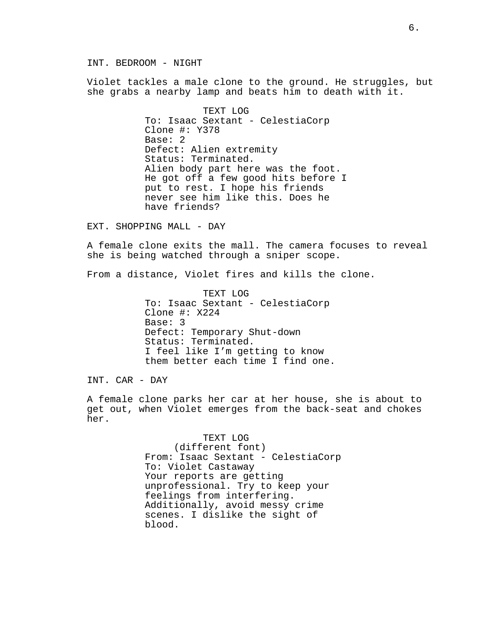INT. BEDROOM - NIGHT

Violet tackles a male clone to the ground. He struggles, but she grabs a nearby lamp and beats him to death with it.

> TEXT LOG To: Isaac Sextant - CelestiaCorp Clone #: Y378 Base: 2 Defect: Alien extremity Status: Terminated. Alien body part here was the foot. He got off a few good hits before I put to rest. I hope his friends never see him like this. Does he have friends?

EXT. SHOPPING MALL - DAY

A female clone exits the mall. The camera focuses to reveal she is being watched through a sniper scope.

From a distance, Violet fires and kills the clone.

TEXT LOG To: Isaac Sextant - CelestiaCorp Clone #: X224 Base: 3 Defect: Temporary Shut-down Status: Terminated. I feel like I'm getting to know them better each time I find one.

INT. CAR - DAY

A female clone parks her car at her house, she is about to get out, when Violet emerges from the back-seat and chokes her.

> TEXT LOG (different font) From: Isaac Sextant - CelestiaCorp To: Violet Castaway Your reports are getting unprofessional. Try to keep your feelings from interfering. Additionally, avoid messy crime scenes. I dislike the sight of blood.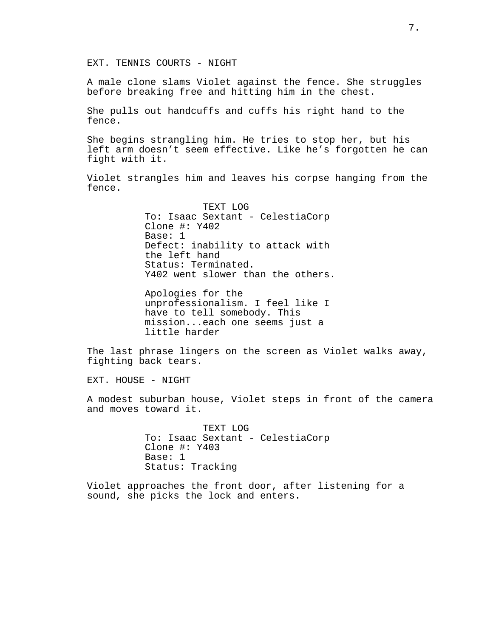EXT. TENNIS COURTS - NIGHT

A male clone slams Violet against the fence. She struggles before breaking free and hitting him in the chest.

She pulls out handcuffs and cuffs his right hand to the fence.

She begins strangling him. He tries to stop her, but his left arm doesn't seem effective. Like he's forgotten he can fight with it.

Violet strangles him and leaves his corpse hanging from the fence.

> TEXT LOG To: Isaac Sextant - CelestiaCorp Clone #: Y402 Base: 1 Defect: inability to attack with the left hand Status: Terminated. Y402 went slower than the others.

Apologies for the unprofessionalism. I feel like I have to tell somebody. This mission...each one seems just a little harder

The last phrase lingers on the screen as Violet walks away, fighting back tears.

EXT. HOUSE - NIGHT

A modest suburban house, Violet steps in front of the camera and moves toward it.

> TEXT LOG To: Isaac Sextant - CelestiaCorp Clone #: Y403 Base: 1 Status: Tracking

Violet approaches the front door, after listening for a sound, she picks the lock and enters.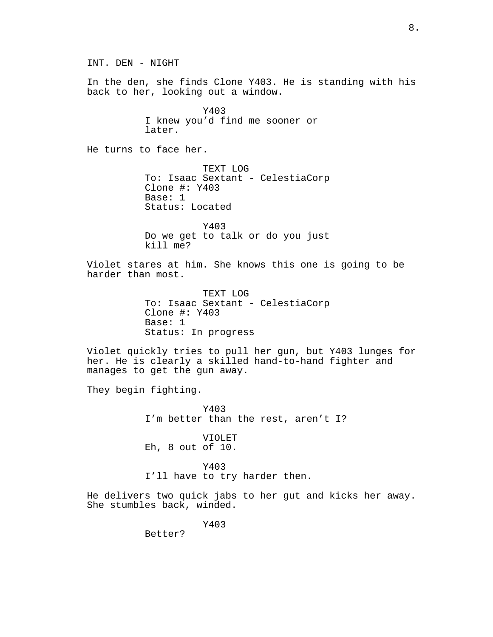INT. DEN - NIGHT In the den, she finds Clone Y403. He is standing with his back to her, looking out a window. Y403 I knew you'd find me sooner or later. He turns to face her. TEXT LOG To: Isaac Sextant - CelestiaCorp Clone #: Y403 Base: 1 Status: Located Y403 Do we get to talk or do you just kill me? Violet stares at him. She knows this one is going to be harder than most. TEXT LOG To: Isaac Sextant - CelestiaCorp Clone #: Y403 Base: 1 Status: In progress Violet quickly tries to pull her gun, but Y403 lunges for her. He is clearly a skilled hand-to-hand fighter and manages to get the gun away. They begin fighting. Y403 I'm better than the rest, aren't I? VIOLET Eh, 8 out of 10. Y403 I'll have to try harder then. He delivers two quick jabs to her gut and kicks her away. She stumbles back, winded. Y403 Better?

8.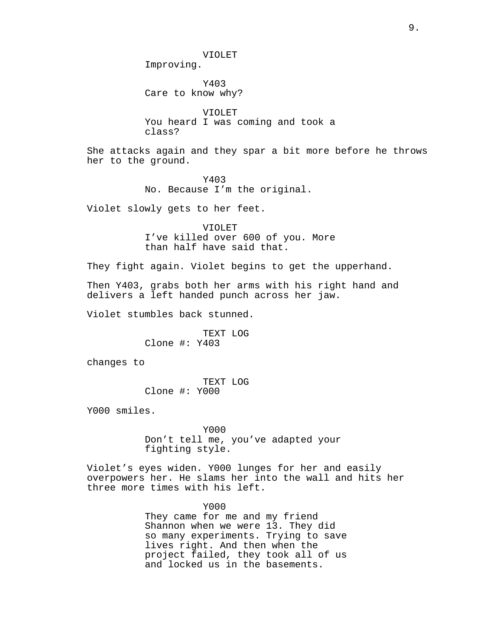VIOLET

Improving.

Y403 Care to know why?

VIOLET You heard I was coming and took a class?

She attacks again and they spar a bit more before he throws her to the ground.

> Y403 No. Because I'm the original.

Violet slowly gets to her feet.

VIOLET I've killed over 600 of you. More than half have said that.

They fight again. Violet begins to get the upperhand.

Then Y403, grabs both her arms with his right hand and delivers a left handed punch across her jaw.

Violet stumbles back stunned.

TEXT LOG Clone #: Y403

changes to

TEXT LOG Clone #: Y000

Y000 smiles.

Y000 Don't tell me, you've adapted your fighting style.

Violet's eyes widen. Y000 lunges for her and easily overpowers her. He slams her into the wall and hits her three more times with his left.

> Y000 They came for me and my friend Shannon when we were 13. They did so many experiments. Trying to save lives right. And then when the project failed, they took all of us and locked us in the basements.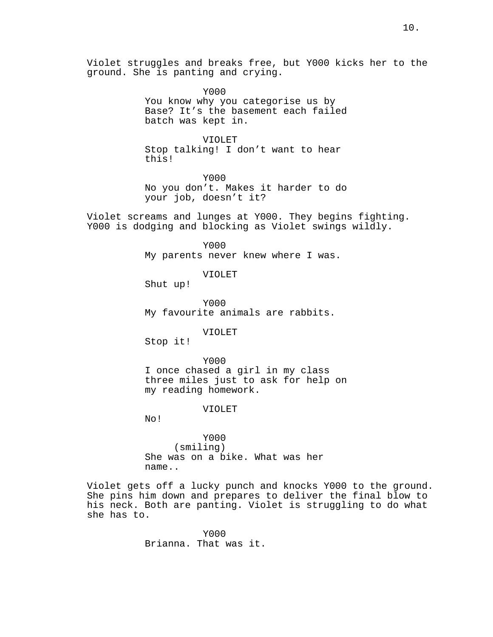Violet struggles and breaks free, but Y000 kicks her to the ground. She is panting and crying.

> Y000 You know why you categorise us by Base? It's the basement each failed batch was kept in.

VIOLET Stop talking! I don't want to hear this!

Y000 No you don't. Makes it harder to do your job, doesn't it?

Violet screams and lunges at Y000. They begins fighting. Y000 is dodging and blocking as Violet swings wildly.

> Y000 My parents never knew where I was.

> > VIOLET

Shut up!

Y000 My favourite animals are rabbits.

VIOLET

Stop it!

Y000 I once chased a girl in my class three miles just to ask for help on my reading homework.

VIOLET

No!

Y000 (smiling) She was on a bike. What was her name..

Violet gets off a lucky punch and knocks Y000 to the ground. She pins him down and prepares to deliver the final blow to his neck. Both are panting. Violet is struggling to do what she has to.

> Y000 Brianna. That was it.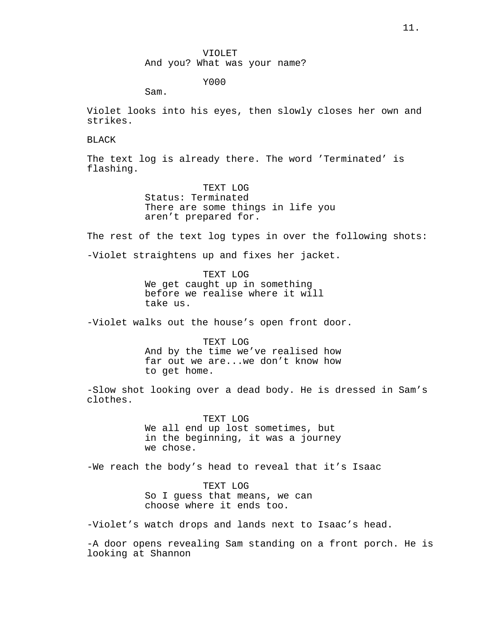Y000

Sam.

Violet looks into his eyes, then slowly closes her own and strikes.

BLACK

The text log is already there. The word 'Terminated' is flashing.

> TEXT LOG Status: Terminated There are some things in life you aren't prepared for.

The rest of the text log types in over the following shots:

-Violet straightens up and fixes her jacket.

TEXT LOG We get caught up in something before we realise where it will take us.

-Violet walks out the house's open front door.

TEXT LOG And by the time we've realised how far out we are...we don't know how to get home.

-Slow shot looking over a dead body. He is dressed in Sam's clothes.

> TEXT LOG We all end up lost sometimes, but in the beginning, it was a journey we chose.

-We reach the body's head to reveal that it's Isaac

TEXT LOG So I guess that means, we can choose where it ends too.

-Violet's watch drops and lands next to Isaac's head.

-A door opens revealing Sam standing on a front porch. He is looking at Shannon